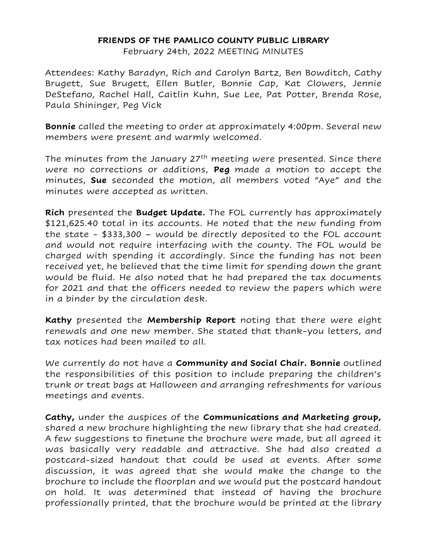## **FRIENDS OF THE PAMLICO COUNTY PUBLIC LIBRARY**

February 24th, 2022 MEETING MINUTES

Attendees: Kathy Baradyn, Rich and Carolyn Bartz, Ben Bowditch, Cathy Brugett, Sue Brugett, Ellen Butler, Bonnie Cap, Kat Clowers, Jennie DeStefano, Rachel Hall, Caitlin Kuhn, Sue Lee, Pat Potter, Brenda Rose, Paula Shininger, Peg Vick

**Bonnie** called the meeting to order at approximately 4:00pm. Several new members were present and warmly welcomed.

The minutes from the January  $27<sup>th</sup>$  meeting were presented. Since there were no corrections or additions, **Peg** made a motion to accept the minutes, **Sue** seconded the motion, all members voted "Aye" and the minutes were accepted as written.

**Rich** presented the **Budget Update.** The FOL currently has approximately \$121,625.40 total in its accounts. He noted that the new funding from the state - \$333,300 – would be directly deposited to the FOL account and would not require interfacing with the county. The FOL would be charged with spending it accordingly. Since the funding has not been received yet, he believed that the time limit for spending down the grant would be fluid. He also noted that he had prepared the tax documents for 2021 and that the officers needed to review the papers which were in a binder by the circulation desk.

**Kathy** presented the **Membership Report** noting that there were eight renewals and one new member. She stated that thank-you letters, and tax notices had been mailed to all.

We currently do not have a **Community and Social Chair. Bonnie** outlined the responsibilities of this position to include preparing the children's trunk or treat bags at Halloween and arranging refreshments for various meetings and events.

**Cathy,** under the auspices of the **Communications and Marketing group,**  shared a new brochure highlighting the new library that she had created. A few suggestions to finetune the brochure were made, but all agreed it was basically very readable and attractive. She had also created a postcard-sized handout that could be used at events. After some discussion, it was agreed that she would make the change to the brochure to include the floorplan and we would put the postcard handout on hold. It was determined that instead of having the brochure professionally printed, that the brochure would be printed at the library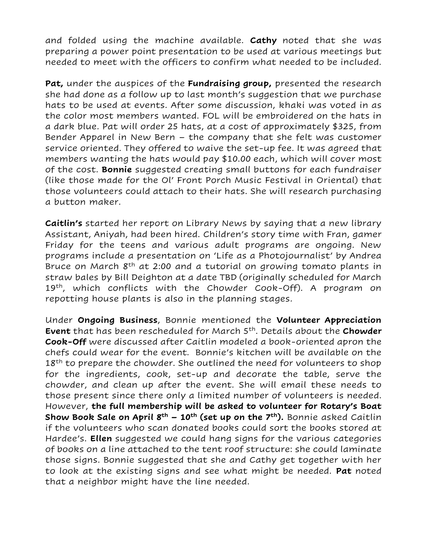and folded using the machine available. **Cathy** noted that she was preparing a power point presentation to be used at various meetings but needed to meet with the officers to confirm what needed to be included.

**Pat,** under the auspices of the **Fundraising group,** presented the research she had done as a follow up to last month's suggestion that we purchase hats to be used at events. After some discussion, khaki was voted in as the color most members wanted. FOL will be embroidered on the hats in a dark blue. Pat will order 25 hats, at a cost of approximately \$325, from Bender Apparel in New Bern – the company that she felt was customer service oriented. They offered to waive the set-up fee. It was agreed that members wanting the hats would pay \$10.00 each, which will cover most of the cost. **Bonnie** suggested creating small buttons for each fundraiser (like those made for the Ol' Front Porch Music Festival in Oriental) that those volunteers could attach to their hats. She will research purchasing a button maker.

**Caitlin's** started her report on Library News by saying that a new library Assistant, Aniyah, had been hired. Children's story time with Fran, gamer Friday for the teens and various adult programs are ongoing. New programs include a presentation on 'Life as a Photojournalist' by Andrea Bruce on March  $8<sup>th</sup>$  at 2:00 and a tutorial on growing tomato plants in straw bales by Bill Deighton at a date TBD (originally scheduled for March 19<sup>th</sup>, which conflicts with the Chowder Cook-Off). A program on repotting house plants is also in the planning stages.

Under **Ongoing Business**, Bonnie mentioned the **Volunteer Appreciation Event** that has been rescheduled for March 5th. Details about the **Chowder Cook-Off** were discussed after Caitlin modeled a book-oriented apron the chefs could wear for the event. Bonnie's kitchen will be available on the  $18<sup>th</sup>$  to prepare the chowder. She outlined the need for volunteers to shop for the ingredients, cook, set-up and decorate the table, serve the chowder, and clean up after the event. She will email these needs to those present since there only a limited number of volunteers is needed. However, **the full membership will be asked to volunteer for Rotary's Boat Show Book Sale on April 8th – 10th (set up on the 7th).** Bonnie asked Caitlin if the volunteers who scan donated books could sort the books stored at Hardee's. **Ellen** suggested we could hang signs for the various categories of books on a line attached to the tent roof structure: she could laminate those signs. Bonnie suggested that she and Cathy get together with her to look at the existing signs and see what might be needed. **Pat** noted that a neighbor might have the line needed.